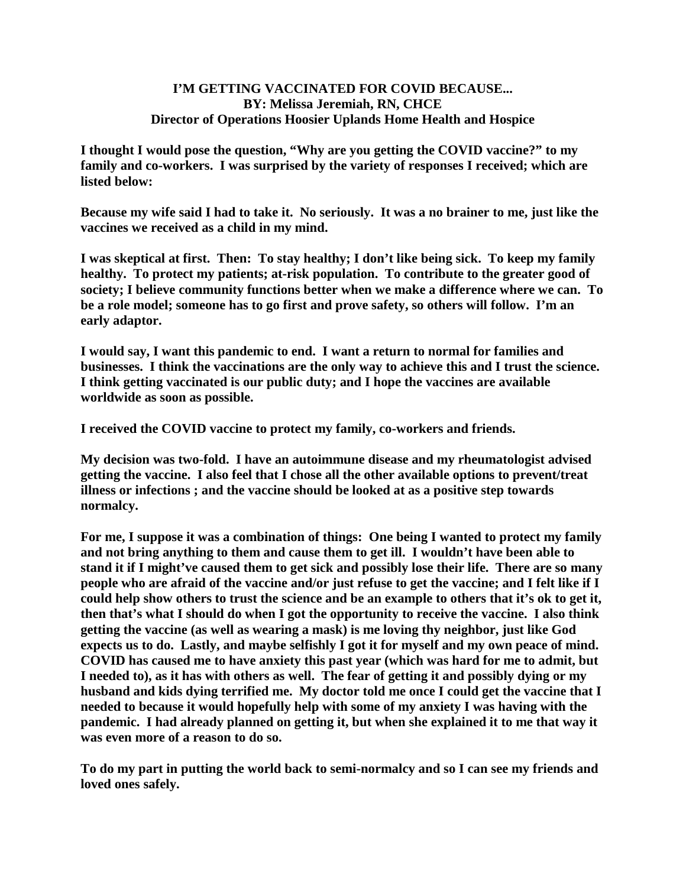## **I'M GETTING VACCINATED FOR COVID BECAUSE... BY: Melissa Jeremiah, RN, CHCE Director of Operations Hoosier Uplands Home Health and Hospice**

**I thought I would pose the question, "Why are you getting the COVID vaccine?" to my family and co-workers. I was surprised by the variety of responses I received; which are listed below:**

**Because my wife said I had to take it. No seriously. It was a no brainer to me, just like the vaccines we received as a child in my mind.**

**I was skeptical at first. Then: To stay healthy; I don't like being sick. To keep my family healthy. To protect my patients; at-risk population. To contribute to the greater good of society; I believe community functions better when we make a difference where we can. To be a role model; someone has to go first and prove safety, so others will follow. I'm an early adaptor.**

**I would say, I want this pandemic to end. I want a return to normal for families and businesses. I think the vaccinations are the only way to achieve this and I trust the science. I think getting vaccinated is our public duty; and I hope the vaccines are available worldwide as soon as possible.**

**I received the COVID vaccine to protect my family, co-workers and friends.**

**My decision was two-fold. I have an autoimmune disease and my rheumatologist advised getting the vaccine. I also feel that I chose all the other available options to prevent/treat illness or infections ; and the vaccine should be looked at as a positive step towards normalcy.** 

**For me, I suppose it was a combination of things: One being I wanted to protect my family and not bring anything to them and cause them to get ill. I wouldn't have been able to stand it if I might've caused them to get sick and possibly lose their life. There are so many people who are afraid of the vaccine and/or just refuse to get the vaccine; and I felt like if I could help show others to trust the science and be an example to others that it's ok to get it, then that's what I should do when I got the opportunity to receive the vaccine. I also think getting the vaccine (as well as wearing a mask) is me loving thy neighbor, just like God expects us to do. Lastly, and maybe selfishly I got it for myself and my own peace of mind. COVID has caused me to have anxiety this past year (which was hard for me to admit, but I needed to), as it has with others as well. The fear of getting it and possibly dying or my husband and kids dying terrified me. My doctor told me once I could get the vaccine that I needed to because it would hopefully help with some of my anxiety I was having with the pandemic. I had already planned on getting it, but when she explained it to me that way it was even more of a reason to do so.**

**To do my part in putting the world back to semi-normalcy and so I can see my friends and loved ones safely.**